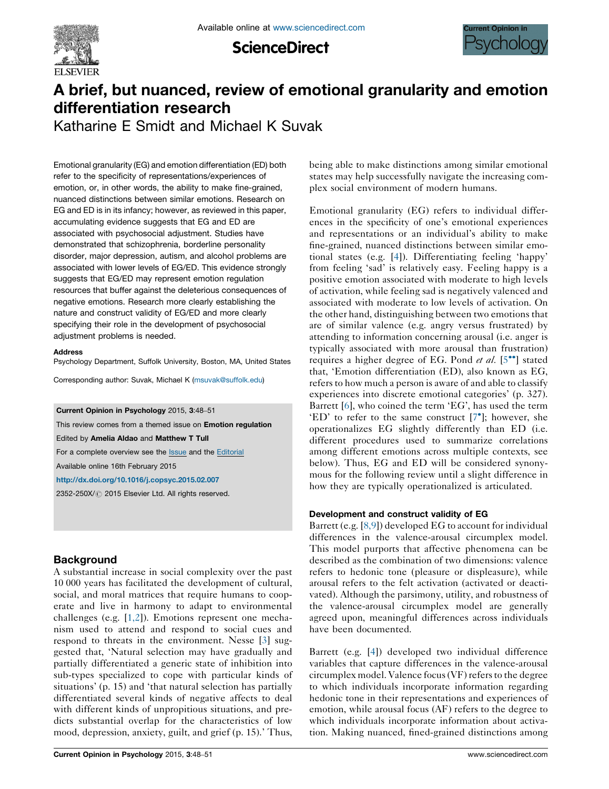

**ScienceDirect** 



## A brief, but nuanced, review of emotional granularity and emotion differentiation research

Katharine E Smidt and Michael K Suvak

Emotional granularity (EG) and emotion differentiation (ED) both refer to the specificity of representations/experiences of emotion, or, in other words, the ability to make fine-grained, nuanced distinctions between similar emotions. Research on EG and ED is in its infancy; however, as reviewed in this paper, accumulating evidence suggests that EG and ED are associated with psychosocial adjustment. Studies have demonstrated that schizophrenia, borderline personality disorder, major depression, autism, and alcohol problems are associated with lower levels of EG/ED. This evidence strongly suggests that EG/ED may represent emotion regulation resources that buffer against the deleterious consequences of negative emotions. Research more clearly establishing the nature and construct validity of EG/ED and more clearly specifying their role in the development of psychosocial adjustment problems is needed.

#### Address

Psychology Department, Suffolk University, Boston, MA, United States

Corresponding author: Suvak, Michael K [\(msuvak@suffolk.edu](mailto:msuvak@suffolk.edu))

Current Opinion in Psychology 2015, 3:48–51

This review comes from a themed issue on Emotion regulation

Edited by Amelia Aldao and Matthew T Tull

For a complete overview see the [Issue](http://www.sciencedirect.com/science/journal/2352250X/3) and the [Editorial](http://dx.doi.org/10.1016/j.copsyc.2015.03.009)

Available online 16th February 2015

<http://dx.doi.org/10.1016/j.copsyc.2015.02.007>

2352-250X/ 2015 Elsevier Ltd. All rights reserved.

### **Background**

A substantial increase in social complexity over the past 10 000 years has facilitated the development of cultural, social, and moral matrices that require humans to cooperate and live in harmony to adapt to environmental challenges (e.g. [\[1,2\]](#page--1-0)). Emotions represent one mechanism used to attend and respond to social cues and respond to threats in the environment. Nesse [[3\]](#page--1-0) suggested that, 'Natural selection may have gradually and partially differentiated a generic state of inhibition into sub-types specialized to cope with particular kinds of situations' (p. 15) and 'that natural selection has partially differentiated several kinds of negative affects to deal with different kinds of unpropitious situations, and predicts substantial overlap for the characteristics of low mood, depression, anxiety, guilt, and grief (p. 15).' Thus,

being able to make distinctions among similar emotional states may help successfully navigate the increasing complex social environment of modern humans.

Emotional granularity (EG) refers to individual differences in the specificity of one's emotional experiences and representations or an individual's ability to make fine-grained, nuanced distinctions between similar emotional states (e.g. [\[4](#page--1-0)]). Differentiating feeling 'happy' from feeling 'sad' is relatively easy. Feeling happy is a positive emotion associated with moderate to high levels of activation, while feeling sad is negatively valenced and associated with moderate to low levels of activation. On the other hand, distinguishing between two emotions that are of similar valence (e.g. angry versus frustrated) by attending to information concerning arousal (i.e. anger is typically associated with more arousal than frustration) requires a higher degree of EG. Pond et al. [\[5](#page--1-0)<sup>\*\*</sup>] stated that, 'Emotion differentiation (ED), also known as EG, refers to how much a person is aware of and able to classify experiences into discrete emotional categories' (p. 327). Barrett [[6](#page--1-0)], who coined the term 'EG', has used the term 'ED' to refer to the same construct [[7](#page--1-0)<sup>°</sup>]; however, she operationalizes EG slightly differently than ED (i.e. different procedures used to summarize correlations among different emotions across multiple contexts, see below). Thus, EG and ED will be considered synonymous for the following review until a slight difference in how they are typically operationalized is articulated.

#### Development and construct validity of EG

Barrett (e.g. [[8,9](#page--1-0)]) developed EG to account for individual differences in the valence-arousal circumplex model. This model purports that affective phenomena can be described as the combination of two dimensions: valence refers to hedonic tone (pleasure or displeasure), while arousal refers to the felt activation (activated or deactivated). Although the parsimony, utility, and robustness of the valence-arousal circumplex model are generally agreed upon, meaningful differences across individuals have been documented.

Barrett (e.g. [[4\]](#page--1-0)) developed two individual difference variables that capture differences in the valence-arousal circumplex model. Valence focus (VF) refers to the degree to which individuals incorporate information regarding hedonic tone in their representations and experiences of emotion, while arousal focus (AF) refers to the degree to which individuals incorporate information about activation. Making nuanced, fined-grained distinctions among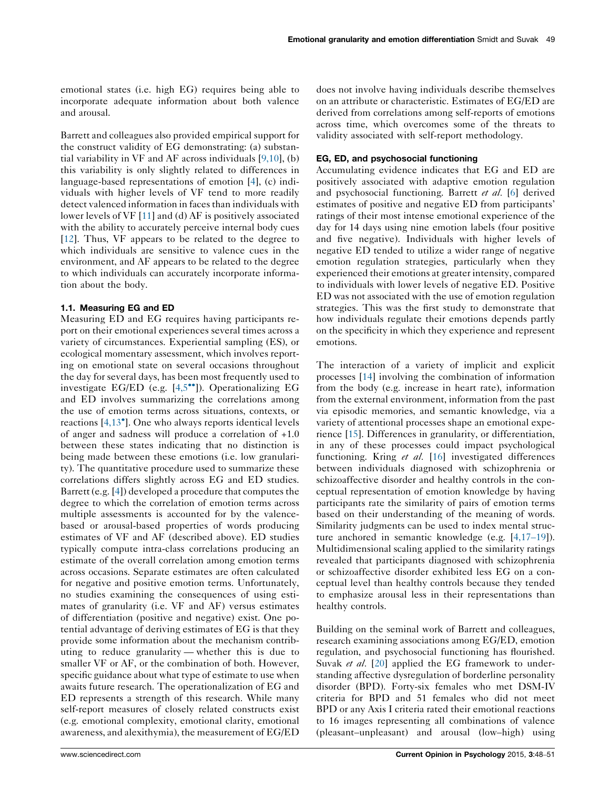emotional states (i.e. high EG) requires being able to incorporate adequate information about both valence and arousal.

Barrett and colleagues also provided empirical support for the construct validity of EG demonstrating: (a) substantial variability in VF and AF across individuals [\[9,10\]](#page--1-0), (b) this variability is only slightly related to differences in language-based representations of emotion [\[4](#page--1-0)], (c) individuals with higher levels of VF tend to more readily detect valenced information in faces than individuals with lower levels of VF [[11\]](#page--1-0) and (d) AF is positively associated with the ability to accurately perceive internal body cues [\[12](#page--1-0)]. Thus, VF appears to be related to the degree to which individuals are sensitive to valence cues in the environment, and AF appears to be related to the degree to which individuals can accurately incorporate information about the body.

#### 1.1. Measuring EG and ED

Measuring ED and EG requires having participants report on their emotional experiences several times across a variety of circumstances. Experiential sampling (ES), or ecological momentary assessment, which involves reporting on emotional state on several occasions throughout the day for several days, has been most frequently used to investigate EG/ED (e.g. [[4,5](#page--1-0)<sup>••</sup>]). Operationalizing EG and ED involves summarizing the correlations among the use of emotion terms across situations, contexts, or reactions [[4,13](#page--1-0)<sup>°</sup>]. One who always reports identical levels of anger and sadness will produce a correlation of +1.0 between these states indicating that no distinction is being made between these emotions (i.e. low granularity). The quantitative procedure used to summarize these correlations differs slightly across EG and ED studies. Barrett (e.g. [[4\]](#page--1-0)) developed a procedure that computes the degree to which the correlation of emotion terms across multiple assessments is accounted for by the valencebased or arousal-based properties of words producing estimates of VF and AF (described above). ED studies typically compute intra-class correlations producing an estimate of the overall correlation among emotion terms across occasions. Separate estimates are often calculated for negative and positive emotion terms. Unfortunately, no studies examining the consequences of using estimates of granularity (i.e. VF and AF) versus estimates of differentiation (positive and negative) exist. One potential advantage of deriving estimates of EG is that they provide some information about the mechanism contributing to reduce granularity — whether this is due to smaller VF or AF, or the combination of both. However, specific guidance about what type of estimate to use when awaits future research. The operationalization of EG and ED represents a strength of this research. While many self-report measures of closely related constructs exist (e.g. emotional complexity, emotional clarity, emotional awareness, and alexithymia), the measurement of EG/ED

does not involve having individuals describe themselves on an attribute or characteristic. Estimates of EG/ED are derived from correlations among self-reports of emotions across time, which overcomes some of the threats to validity associated with self-report methodology.

#### EG, ED, and psychosocial functioning

Accumulating evidence indicates that EG and ED are positively associated with adaptive emotion regulation and psychosocial functioning. Barrett et al. [[6\]](#page--1-0) derived estimates of positive and negative ED from participants' ratings of their most intense emotional experience of the day for 14 days using nine emotion labels (four positive and five negative). Individuals with higher levels of negative ED tended to utilize a wider range of negative emotion regulation strategies, particularly when they experienced their emotions at greater intensity, compared to individuals with lower levels of negative ED. Positive ED was not associated with the use of emotion regulation strategies. This was the first study to demonstrate that how individuals regulate their emotions depends partly on the specificity in which they experience and represent emotions.

The interaction of a variety of implicit and explicit processes [[14\]](#page--1-0) involving the combination of information from the body (e.g. increase in heart rate), information from the external environment, information from the past via episodic memories, and semantic knowledge, via a variety of attentional processes shape an emotional experience [\[15](#page--1-0)]. Differences in granularity, or differentiation, in any of these processes could impact psychological functioning. Kring et al. [\[16](#page--1-0)] investigated differences between individuals diagnosed with schizophrenia or schizoaffective disorder and healthy controls in the conceptual representation of emotion knowledge by having participants rate the similarity of pairs of emotion terms based on their understanding of the meaning of words. Similarity judgments can be used to index mental structure anchored in semantic knowledge (e.g. [[4,17](#page--1-0)–19]). Multidimensional scaling applied to the similarity ratings revealed that participants diagnosed with schizophrenia or schizoaffective disorder exhibited less EG on a conceptual level than healthy controls because they tended to emphasize arousal less in their representations than healthy controls.

Building on the seminal work of Barrett and colleagues, research examining associations among EG/ED, emotion regulation, and psychosocial functioning has flourished. Suvak et al. [[20\]](#page--1-0) applied the EG framework to understanding affective dysregulation of borderline personality disorder (BPD). Forty-six females who met DSM-IV criteria for BPD and 51 females who did not meet BPD or any Axis I criteria rated their emotional reactions to 16 images representing all combinations of valence (pleasant–unpleasant) and arousal (low–high) using